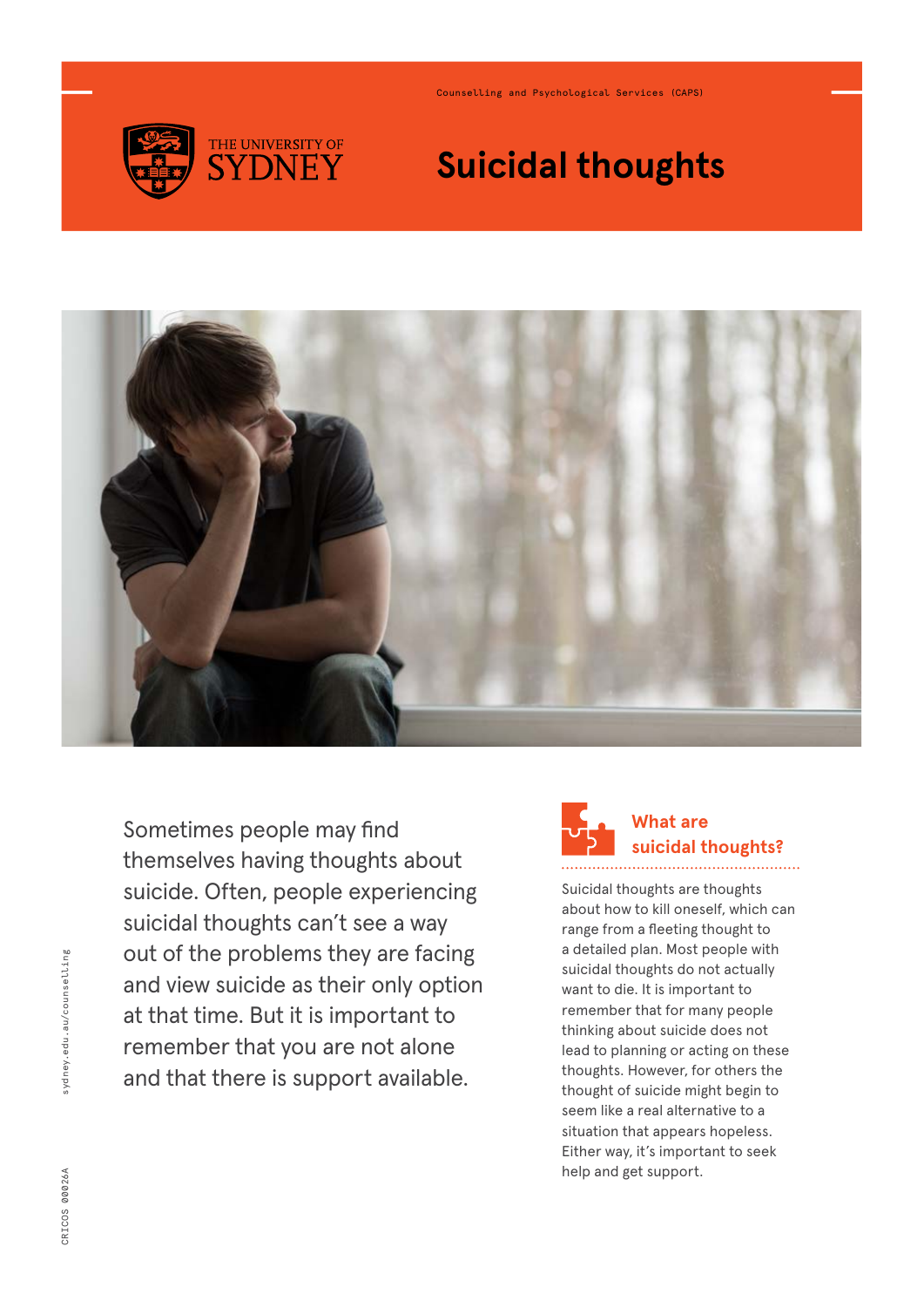

Counselling and Psychological Services (CAPS)

# **Suicidal thoughts**



Sometimes people may find themselves having thoughts about suicide. Often, people experiencing suicidal thoughts can't see a way out of the problems they are facing and view suicide as their only option at that time. But it is important to remember that you are not alone and that there is support available.



Suicidal thoughts are thoughts about how to kill oneself, which can range from a fleeting thought to a detailed plan. Most people with suicidal thoughts do not actually want to die. It is important to remember that for many people thinking about suicide does not lead to planning or acting on these thoughts. However, for others the thought of suicide might begin to seem like a real alternative to a situation that appears hopeless. Either way, it's important to seek help and get support.